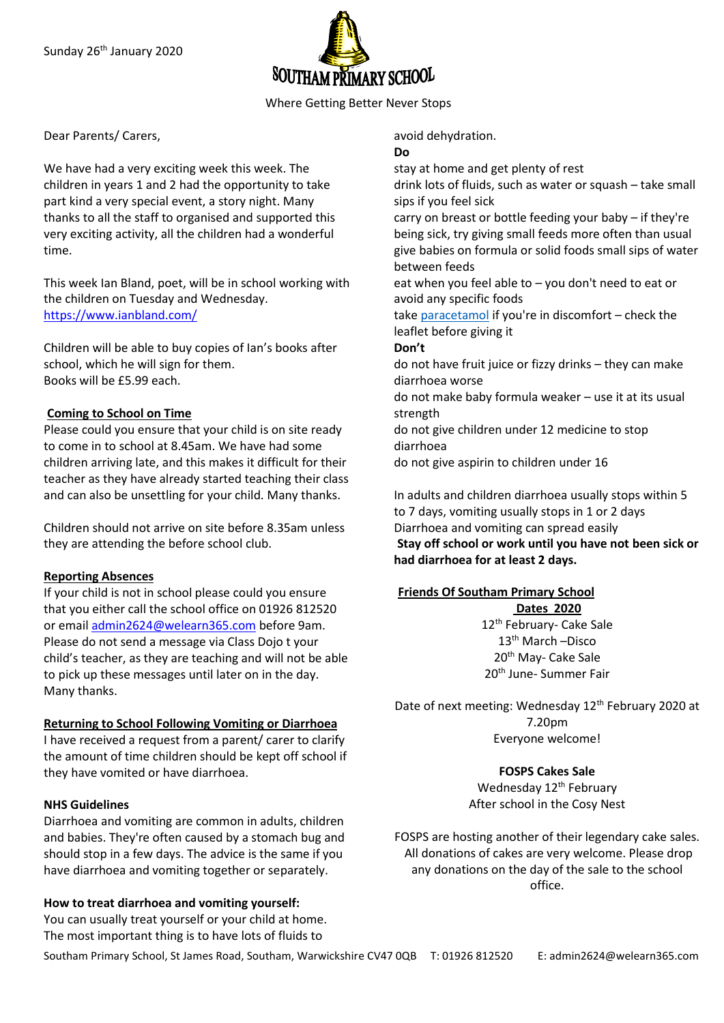

Where Getting Better Never Stops

Dear Parents/ Carers,

We have had a very exciting week this week. The children in years 1 and 2 had the opportunity to take part kind a very special event, a story night. Many thanks to all the staff to organised and supported this very exciting activity, all the children had a wonderful time.

This week Ian Bland, poet, will be in school working with the children on Tuesday and Wednesday. <https://www.ianbland.com/>

Children will be able to buy copies of Ian's books after school, which he will sign for them. Books will be £5.99 each.

## **Coming to School on Time**

Please could you ensure that your child is on site ready to come in to school at 8.45am. We have had some children arriving late, and this makes it difficult for their teacher as they have already started teaching their class and can also be unsettling for your child. Many thanks.

Children should not arrive on site before 8.35am unless they are attending the before school club.

## **Reporting Absences**

If your child is not in school please could you ensure that you either call the school office on 01926 812520 or email [admin2624@welearn365.com](mailto:admin2624@welearn365.com) before 9am. Please do not send a message via Class Dojo t your child's teacher, as they are teaching and will not be able to pick up these messages until later on in the day. Many thanks.

## **Returning to School Following Vomiting or Diarrhoea**

I have received a request from a parent/ carer to clarify the amount of time children should be kept off school if they have vomited or have diarrhoea.

## **NHS Guidelines**

Diarrhoea and vomiting are common in adults, children and babies. They're often caused by a stomach bug and should stop in a few days. The advice is the same if you have diarrhoea and vomiting together or separately.

## **How to treat diarrhoea and vomiting yourself:**

You can usually treat yourself or your child at home. The most important thing is to have lots of fluids to

avoid dehydration.

### **Do**

stay at home and get plenty of rest

drink lots of fluids, such as water or squash – take small sips if you feel sick

carry on breast or bottle feeding your baby – if they're being sick, try giving small feeds more often than usual give babies on formula or solid foods small sips of water between feeds

eat when you feel able to – you don't need to eat or avoid any specific foods

take [paracetamol](https://beta.nhs.uk/medicines/paracetamol-for-adults) if you're in discomfort – check the leaflet before giving it

## **Don't**

do not have fruit juice or fizzy drinks – they can make diarrhoea worse

do not make baby formula weaker – use it at its usual strength

do not give children under 12 medicine to stop diarrhoea

do not give aspirin to children under 16

In adults and children diarrhoea usually stops within 5 to 7 days, vomiting usually stops in 1 or 2 days Diarrhoea and vomiting can spread easily **Stay off school or work until you have not been sick or had diarrhoea for at least 2 days.**

# **Friends Of Southam Primary School**

**Dates 2020** 12<sup>th</sup> February- Cake Sale 13th March –Disco 20<sup>th</sup> May- Cake Sale 20th June- Summer Fair

Date of next meeting: Wednesday 12<sup>th</sup> February 2020 at 7.20pm Everyone welcome!

> **FOSPS Cakes Sale** Wednesday 12<sup>th</sup> February After school in the Cosy Nest

FOSPS are hosting another of their legendary cake sales. All donations of cakes are very welcome. Please drop any donations on the day of the sale to the school office.